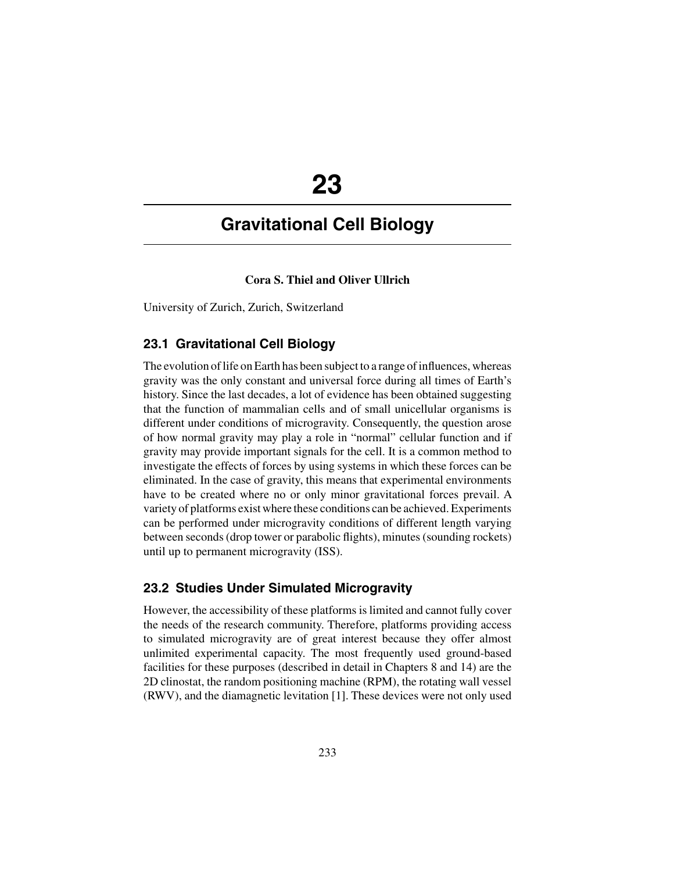# **23**

# **Gravitational Cell Biology**

#### **Cora S. Thiel and Oliver Ullrich**

University of Zurich, Zurich, Switzerland

# **23.1 Gravitational Cell Biology**

The evolution of life on Earth has been subject to a range of influences, whereas gravity was the only constant and universal force during all times of Earth's history. Since the last decades, a lot of evidence has been obtained suggesting that the function of mammalian cells and of small unicellular organisms is different under conditions of microgravity. Consequently, the question arose of how normal gravity may play a role in "normal" cellular function and if gravity may provide important signals for the cell. It is a common method to investigate the effects of forces by using systems in which these forces can be eliminated. In the case of gravity, this means that experimental environments have to be created where no or only minor gravitational forces prevail. A variety of platforms exist where these conditions can be achieved. Experiments can be performed under microgravity conditions of different length varying between seconds (drop tower or parabolic flights), minutes (sounding rockets) until up to permanent microgravity (ISS).

### **23.2 Studies Under Simulated Microgravity**

However, the accessibility of these platforms is limited and cannot fully cover the needs of the research community. Therefore, platforms providing access to simulated microgravity are of great interest because they offer almost unlimited experimental capacity. The most frequently used ground-based facilities for these purposes (described in detail in Chapters 8 and 14) are the 2D clinostat, the random positioning machine (RPM), the rotating wall vessel (RWV), and the diamagnetic levitation [1]. These devices were not only used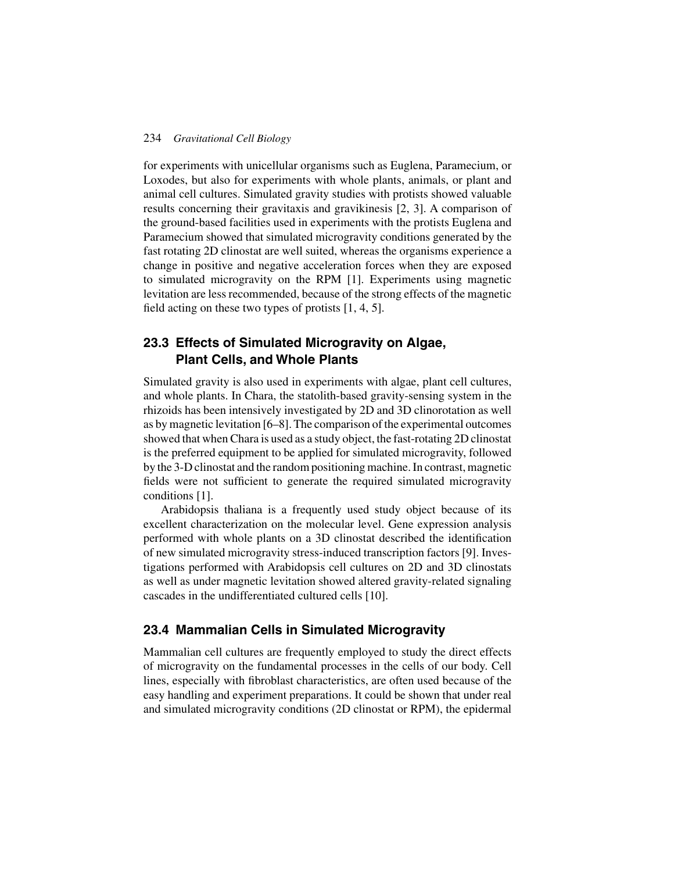#### 234 *Gravitational Cell Biology*

for experiments with unicellular organisms such as Euglena, Paramecium, or Loxodes, but also for experiments with whole plants, animals, or plant and animal cell cultures. Simulated gravity studies with protists showed valuable results concerning their gravitaxis and gravikinesis [2, 3]. A comparison of the ground-based facilities used in experiments with the protists Euglena and Paramecium showed that simulated microgravity conditions generated by the fast rotating 2D clinostat are well suited, whereas the organisms experience a change in positive and negative acceleration forces when they are exposed to simulated microgravity on the RPM [1]. Experiments using magnetic levitation are less recommended, because of the strong effects of the magnetic field acting on these two types of protists [1, 4, 5].

# **23.3 Effects of Simulated Microgravity on Algae, Plant Cells, and Whole Plants**

Simulated gravity is also used in experiments with algae, plant cell cultures, and whole plants. In Chara, the statolith-based gravity-sensing system in the rhizoids has been intensively investigated by 2D and 3D clinorotation as well as by magnetic levitation [6–8]. The comparison of the experimental outcomes showed that when Chara is used as a study object, the fast-rotating 2D clinostat is the preferred equipment to be applied for simulated microgravity, followed by the 3-D clinostat and the random positioning machine. In contrast, magnetic fields were not sufficient to generate the required simulated microgravity conditions [1].

Arabidopsis thaliana is a frequently used study object because of its excellent characterization on the molecular level. Gene expression analysis performed with whole plants on a 3D clinostat described the identification of new simulated microgravity stress-induced transcription factors [9]. Investigations performed with Arabidopsis cell cultures on 2D and 3D clinostats as well as under magnetic levitation showed altered gravity-related signaling cascades in the undifferentiated cultured cells [10].

# **23.4 Mammalian Cells in Simulated Microgravity**

Mammalian cell cultures are frequently employed to study the direct effects of microgravity on the fundamental processes in the cells of our body. Cell lines, especially with fibroblast characteristics, are often used because of the easy handling and experiment preparations. It could be shown that under real and simulated microgravity conditions (2D clinostat or RPM), the epidermal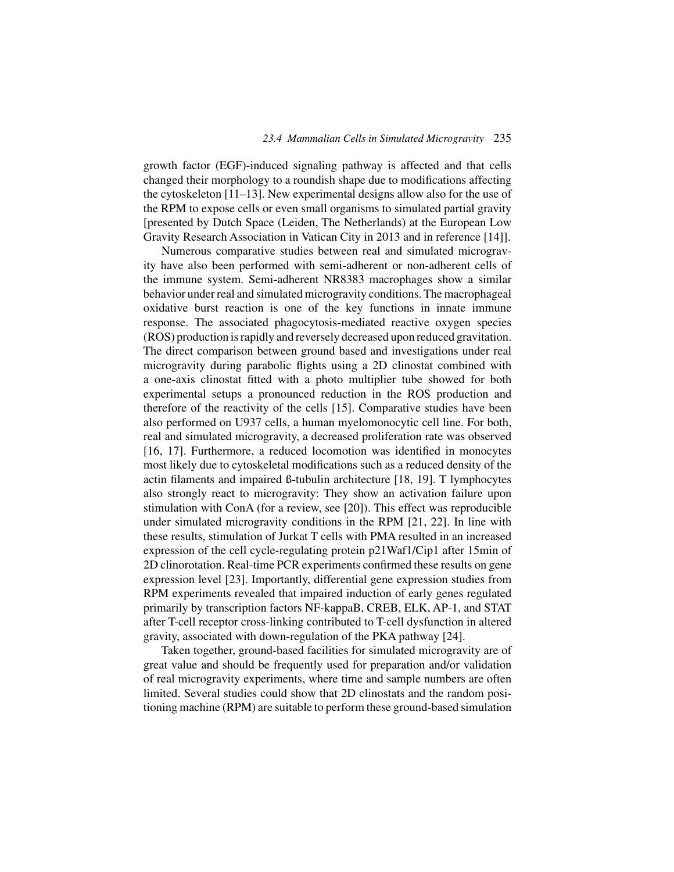growth factor (EGF)-induced signaling pathway is affected and that cells changed their morphology to a roundish shape due to modifications affecting the cytoskeleton [11–13]. New experimental designs allow also for the use of the RPM to expose cells or even small organisms to simulated partial gravity [presented by Dutch Space (Leiden, The Netherlands) at the European Low Gravity Research Association in Vatican City in 2013 and in reference [14]].

Numerous comparative studies between real and simulated microgravity have also been performed with semi-adherent or non-adherent cells of the immune system. Semi-adherent NR8383 macrophages show a similar behavior under real and simulated microgravity conditions. The macrophageal oxidative burst reaction is one of the key functions in innate immune response. The associated phagocytosis-mediated reactive oxygen species (ROS) production is rapidly and reversely decreased upon reduced gravitation. The direct comparison between ground based and investigations under real microgravity during parabolic flights using a 2D clinostat combined with a one-axis clinostat fitted with a photo multiplier tube showed for both experimental setups a pronounced reduction in the ROS production and therefore of the reactivity of the cells [15]. Comparative studies have been also performed on U937 cells, a human myelomonocytic cell line. For both, real and simulated microgravity, a decreased proliferation rate was observed [16, 17]. Furthermore, a reduced locomotion was identified in monocytes most likely due to cytoskeletal modifications such as a reduced density of the actin filaments and impaired ß-tubulin architecture [18, 19]. T lymphocytes also strongly react to microgravity: They show an activation failure upon stimulation with ConA (for a review, see [20]). This effect was reproducible under simulated microgravity conditions in the RPM [21, 22]. In line with these results, stimulation of Jurkat T cells with PMA resulted in an increased expression of the cell cycle-regulating protein p21Waf1/Cip1 after 15min of 2D clinorotation. Real-time PCR experiments confirmed these results on gene expression level [23]. Importantly, differential gene expression studies from RPM experiments revealed that impaired induction of early genes regulated primarily by transcription factors NF-kappaB, CREB, ELK, AP-1, and STAT after T-cell receptor cross-linking contributed to T-cell dysfunction in altered gravity, associated with down-regulation of the PKA pathway [24].

Taken together, ground-based facilities for simulated microgravity are of great value and should be frequently used for preparation and/or validation of real microgravity experiments, where time and sample numbers are often limited. Several studies could show that 2D clinostats and the random positioning machine (RPM) are suitable to perform these ground-based simulation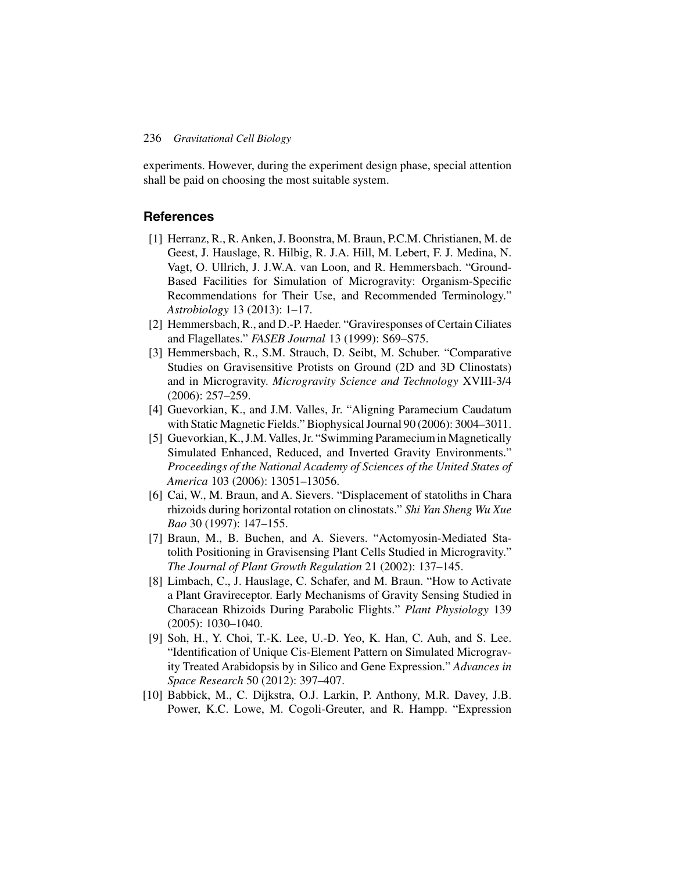#### 236 *Gravitational Cell Biology*

experiments. However, during the experiment design phase, special attention shall be paid on choosing the most suitable system.

## **References**

- [1] Herranz, R., R. Anken, J. Boonstra, M. Braun, P.C.M. Christianen, M. de Geest, J. Hauslage, R. Hilbig, R. J.A. Hill, M. Lebert, F. J. Medina, N. Vagt, O. Ullrich, J. J.W.A. van Loon, and R. Hemmersbach. "Ground-Based Facilities for Simulation of Microgravity: Organism-Specific Recommendations for Their Use, and Recommended Terminology." *Astrobiology* 13 (2013): 1–17.
- [2] Hemmersbach, R., and D.-P. Haeder. "Graviresponses of Certain Ciliates and Flagellates." *FASEB Journal* 13 (1999): S69–S75.
- [3] Hemmersbach, R., S.M. Strauch, D. Seibt, M. Schuber. "Comparative Studies on Gravisensitive Protists on Ground (2D and 3D Clinostats) and in Microgravity. *Microgravity Science and Technology* XVIII-3/4 (2006): 257–259.
- [4] Guevorkian, K., and J.M. Valles, Jr. "Aligning Paramecium Caudatum with Static Magnetic Fields." Biophysical Journal 90 (2006): 3004–3011.
- [5] Guevorkian, K., J.M. Valles, Jr. "Swimming Paramecium in Magnetically Simulated Enhanced, Reduced, and Inverted Gravity Environments." *Proceedings of the National Academy of Sciences of the United States of America* 103 (2006): 13051–13056.
- [6] Cai, W., M. Braun, and A. Sievers. "Displacement of statoliths in Chara rhizoids during horizontal rotation on clinostats." *Shi Yan Sheng Wu Xue Bao* 30 (1997): 147–155.
- [7] Braun, M., B. Buchen, and A. Sievers. "Actomyosin-Mediated Statolith Positioning in Gravisensing Plant Cells Studied in Microgravity." *The Journal of Plant Growth Regulation* 21 (2002): 137–145.
- [8] Limbach, C., J. Hauslage, C. Schafer, and M. Braun. "How to Activate a Plant Gravireceptor. Early Mechanisms of Gravity Sensing Studied in Characean Rhizoids During Parabolic Flights." *Plant Physiology* 139 (2005): 1030–1040.
- [9] Soh, H., Y. Choi, T.-K. Lee, U.-D. Yeo, K. Han, C. Auh, and S. Lee. "Identification of Unique Cis-Element Pattern on Simulated Microgravity Treated Arabidopsis by in Silico and Gene Expression." *Advances in Space Research* 50 (2012): 397–407.
- [10] Babbick, M., C. Dijkstra, O.J. Larkin, P. Anthony, M.R. Davey, J.B. Power, K.C. Lowe, M. Cogoli-Greuter, and R. Hampp. "Expression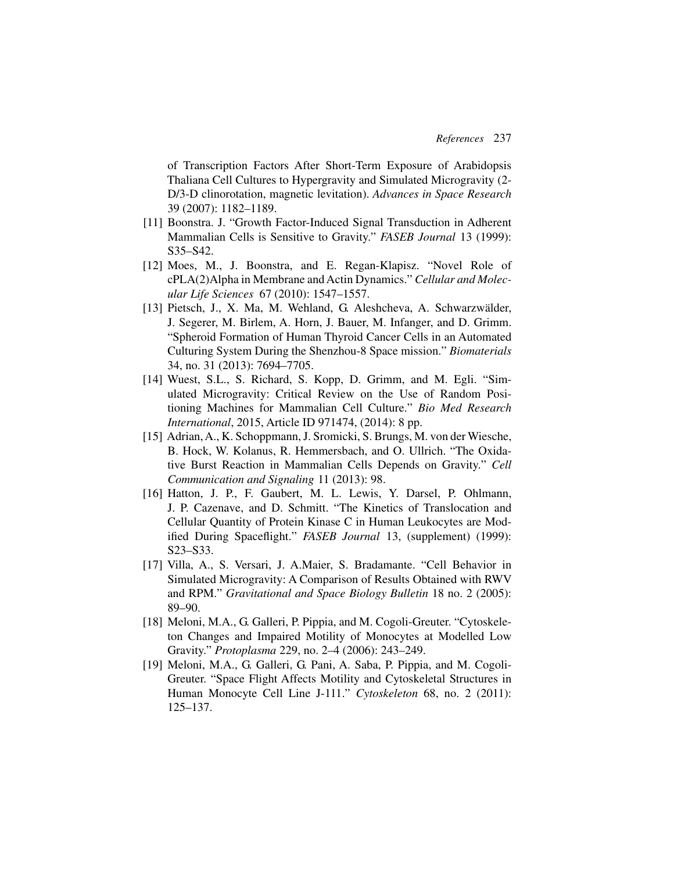of Transcription Factors After Short-Term Exposure of Arabidopsis Thaliana Cell Cultures to Hypergravity and Simulated Microgravity (2- D/3-D clinorotation, magnetic levitation). *Advances in Space Research* 39 (2007): 1182–1189.

- [11] Boonstra. J. "Growth Factor-Induced Signal Transduction in Adherent Mammalian Cells is Sensitive to Gravity." *FASEB Journal* 13 (1999): S35–S42.
- [12] Moes, M., J. Boonstra, and E. Regan-Klapisz. "Novel Role of cPLA(2)Alpha in Membrane and Actin Dynamics." *Cellular and Molecular Life Sciences* 67 (2010): 1547–1557.
- [13] Pietsch, J., X. Ma, M. Wehland, G. Aleshcheva, A. Schwarzwälder, J. Segerer, M. Birlem, A. Horn, J. Bauer, M. Infanger, and D. Grimm. "Spheroid Formation of Human Thyroid Cancer Cells in an Automated Culturing System During the Shenzhou-8 Space mission." *Biomaterials* 34, no. 31 (2013): 7694–7705.
- [14] Wuest, S.L., S. Richard, S. Kopp, D. Grimm, and M. Egli. "Simulated Microgravity: Critical Review on the Use of Random Positioning Machines for Mammalian Cell Culture." *Bio Med Research International*, 2015, Article ID 971474, (2014): 8 pp.
- [15] Adrian, A., K. Schoppmann, J. Sromicki, S. Brungs, M. von der Wiesche, B. Hock, W. Kolanus, R. Hemmersbach, and O. Ullrich. "The Oxidative Burst Reaction in Mammalian Cells Depends on Gravity." *Cell Communication and Signaling* 11 (2013): 98.
- [16] Hatton, J. P., F. Gaubert, M. L. Lewis, Y. Darsel, P. Ohlmann, J. P. Cazenave, and D. Schmitt. "The Kinetics of Translocation and Cellular Quantity of Protein Kinase C in Human Leukocytes are Modified During Spaceflight." *FASEB Journal* 13, (supplement) (1999): S23–S33.
- [17] Villa, A., S. Versari, J. A.Maier, S. Bradamante. "Cell Behavior in Simulated Microgravity: A Comparison of Results Obtained with RWV and RPM." *Gravitational and Space Biology Bulletin* 18 no. 2 (2005): 89–90.
- [18] Meloni, M.A., G. Galleri, P. Pippia, and M. Cogoli-Greuter. "Cytoskeleton Changes and Impaired Motility of Monocytes at Modelled Low Gravity." *Protoplasma* 229, no. 2–4 (2006): 243–249.
- [19] Meloni, M.A., G. Galleri, G. Pani, A. Saba, P. Pippia, and M. Cogoli-Greuter. "Space Flight Affects Motility and Cytoskeletal Structures in Human Monocyte Cell Line J-111." *Cytoskeleton* 68, no. 2 (2011): 125–137.